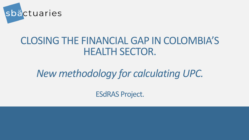

# CLOSING THE FINANCIAL GAP IN COLOMBIA'S HEALTH SECTOR.

# *New methodology for calculating UPC.*

ESdRAS Project.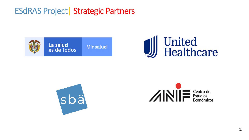#### ESdRAS Project| Strategic Partners







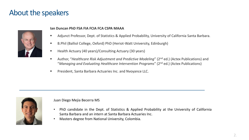#### About the speakers



#### **Ian Duncan PhD FSA FIA FCIA FCA CSPA MAAA**

- Adjunct Professor, Dept. of Statistics & Applied Probability, University of California Santa Barbara.
- B.Phil (Balliol College, Oxford) PhD (Heriot-Watt University, Edinburgh)
- Health Actuary (40 years)/Consulting Actuary (30 years)
- Author, "*Healthcare Risk Adjustment and Predictive Modeling*" (2<sup>nd</sup> ed.) (Actex Publications) and "*Managing and Evaluating Healthcare Intervention Programs*" (2nd ed.) (Actex Publications)
- President, Santa Barbara Actuaries Inc. and Nvoyance LLC.



#### Juan Diego Mejia Becerra MS

- PhD candidate in the Dept. of Statistics & Applied Probability at the University of California Santa Barbara and an intern at Santa Barbara Actuaries Inc.
- Masters degree from National University, Colombia.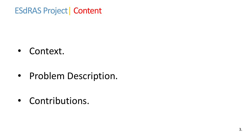#### ESdRAS Project| Content

• Context.

• Problem Description.

• Contributions.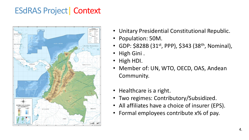#### ESdRAS Project| Context



- Unitary Presidential Constitutional Republic.
- Population: 50M.
- GDP:  $$828B (31^{st}, PPP)$ ,  $$343 (38<sup>th</sup>, Nominal)$ ,
- High Gini .
- High HDI.
- Member of: UN, WTO, OECD, OAS, Andean Community.
- Healthcare is a right.
- Two regimes: Contributory/Subsidized.
- All affiliates have a choice of insurer (EPS).
- Formal employees contribute x% of pay.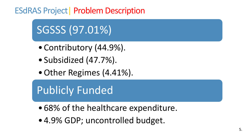

- Contributory (44.9%).
- Subsidized (47.7%).
- Other Regimes (4.41%).

Publicly Funded

- 68% of the healthcare expenditure.
- 4.9% GDP; uncontrolled budget.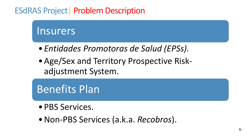# Insurers

- *Entidades Promotoras de Salud (EPSs).*
- •Age/Sex and Territory Prospective Riskadjustment System.

Benefits Plan

- •PBS Services.
- •Non-PBS Services (a.k.a. *Recobros*).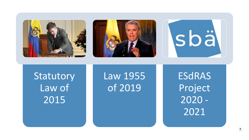





**Statutory** Law of 2015

Law 1955 of 2019

ESdRAS Project 2020 - 2021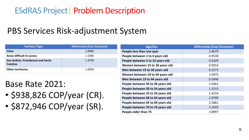## PBS Services Risk-adjustment System

| <b>Territory Type</b>                         | <b>Differential (Cost Structure)</b> |
|-----------------------------------------------|--------------------------------------|
| <b>Cities</b>                                 | 1.0986                               |
| Areas difficult to access                     | 1.1000                               |
| San Andrés, Providencia and Santa<br>Catalina | 1.3790                               |
| <b>Other territories</b>                      | 1.0000                               |

#### Base Rate 2021:

- \$938,826 COP/year (CR).
- \$872,946 COP/year (SR).

| <b>Age/Sex</b>                    | <b>Differential (Cost Structure)</b> |
|-----------------------------------|--------------------------------------|
| People less than one year         | 2.9679                               |
| People between 1 to 4 years old   | 0.9530                               |
| People between 5 to 14 years old  | 0.3329                               |
| Women between 15 to 18 years old  | 0.5014                               |
| Men between 15 to 18 years old    | 0.3173                               |
| Women between 19 to 44 years old  | 1.0475                               |
| Men between 19 to 44 years old    | 0.5646                               |
| People between 45 to 49 years old | 1.0361                               |
| People between 50 to 54 years old | 1.3215                               |
| People between 55 to 59 years old | 1.6154                               |
| People between 60 to 64 years old | 2.0790                               |
| People between 65 to 69 years old | 2.5861                               |
| People between 70 to 74 years old | 3.1033                               |
| People older than 75              | 3.8997                               |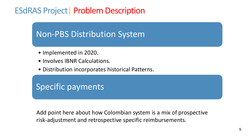## Non-PBS Distribution System

- Implemented in 2020.
- Involves IBNR Calculations.
- Distribution incorporates historical Patterns.

## Specific payments

Add point here about how Colombian system is a mix of prospective risk-adjustment and retrospective specific reimbursements.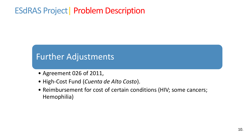#### Further Adjustments

- Agreement 026 of 2011,
- High-Cost Fund (*Cuenta de Alto Costo*).
- Reimbursement for cost of certain conditions (HIV; some cancers; Hemophilia)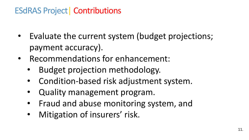## ESdRAS Project| Contributions

- Evaluate the current system (budget projections; payment accuracy).
- Recommendations for enhancement:
	- Budget projection methodology.
	- Condition-based risk adjustment system.
	- Quality management program.
	- Fraud and abuse monitoring system, and
	- Mitigation of insurers' risk.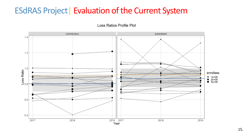#### ESdRAS Project | Evaluation of the Current System

Loss Ratios Profile Plot

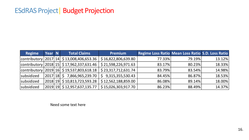#### ESdRAS Project| Budget Projection

| <b>Regime</b>       | <b>Year</b> | <b>N</b> | <b>Total Claims</b>                            | <b>Premium</b>      | Regime Loss Ratio Mean Loss Ratio S.D. Loss Ratio |        |        |
|---------------------|-------------|----------|------------------------------------------------|---------------------|---------------------------------------------------|--------|--------|
| contributory   2017 |             | 14       | \$13,008,406,653.36                            | \$16,822,806,639.80 | 77.33%                                            | 79.19% | 13.12% |
|                     |             |          | contributory 2018 15 $\,$ \$ 17,962,337,631.46 | \$21,598,226,971.63 | 83.17%                                            | 80.23% | 18.33% |
|                     |             |          | contributory 2019 16 $\,$ \$ 19,537,803,618.18 | \$23,317,712,631.74 | 83.79%                                            | 83.54% | 14.98% |
| subsidized          | 2017   18   |          | 7,866,965,239.70<br>S.                         | \$9,315,355,530.43  | 84.45%                                            | 86.87% | 18.53% |
| subsidized          |             |          | $ 2018 19 $ \$ 10,813,723,593.28               | \$12,562,188,859.00 | 86.08%                                            | 89.14% | 18.00% |
| subsidized          |             |          | 2019 19 \$12,957,637,135.77                    | \$15,026,303,917.70 | 86.23%                                            | 88.49% | 14.37% |

Need some text here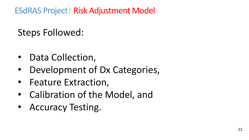# Steps Followed:

- Data Collection,
- Development of Dx Categories,
- Feature Extraction,
- Calibration of the Model, and
- Accuracy Testing.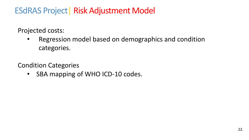Projected costs:

• Regression model based on demographics and condition categories.

Condition Categories

• SBA mapping of WHO ICD-10 codes.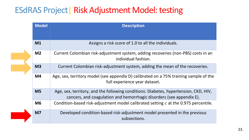#### ESdRAS Project| Risk Adjustment Model: testing

| <b>Model</b>   | <b>Description</b>                                                                                                                                           |  |  |
|----------------|--------------------------------------------------------------------------------------------------------------------------------------------------------------|--|--|
|                |                                                                                                                                                              |  |  |
| M <sub>1</sub> | Assigns a risk score of 1.0 to all the individuals.                                                                                                          |  |  |
| M <sub>2</sub> | Current Colombian risk-adjustment system, adding recoveries (non-PBS) costs in an<br>individual fashion.                                                     |  |  |
| M <sub>3</sub> | Current Colombian risk-adjustment system, adding the mean of the recoveries.                                                                                 |  |  |
| M <sub>4</sub> | Age, sex, territory model (see appendix D) calibrated on a 75% training sample of the<br>full experience year dataset.                                       |  |  |
| M <sub>5</sub> | Age, sex, territory, and the following conditions: Diabetes, hypertension, CKD, HIV,<br>cancers, and coagulation and hemorrhagic disorders (see appendix E). |  |  |
| <b>M6</b>      | Condition-based risk-adjustment model calibrated setting $c$ at the 0.975 percentile.                                                                        |  |  |
| M <sub>7</sub> | Developed condition-based risk-adjustment model presented in the previous<br>subsections.                                                                    |  |  |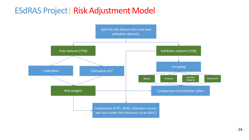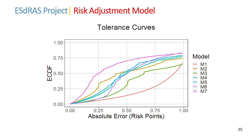#### **Tolerance Curves**

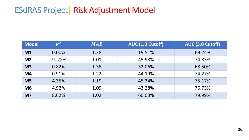| <b>Model</b>   | $\boldsymbol{R^2}$ | <b>MAE</b> | AUC (1.0 Cutoff) | AUC (3.0 Cutoff) |
|----------------|--------------------|------------|------------------|------------------|
| M1             | 0.00%              | 1.38       | 19.51%           | 69.24%           |
| M <sub>2</sub> | 71.22%             | 1.01       | 45.93%           | 74.83%           |
| M <sub>3</sub> | 0.82%              | 1.38       | 32.06%           | 68.50%           |
| M4             | 0.91%              | 1.22       | 44.19%           | 74.27%           |
| M <sub>5</sub> | 4.35%              | 1.19       | 45.34%           | 75.17%           |
| M <sub>6</sub> | 4.92%              | 1.09       | 43.28%           | 76.73%           |
| M <sub>7</sub> | 8.62%              | 1.02       | 60.03%           | 79.99%           |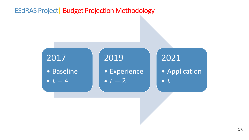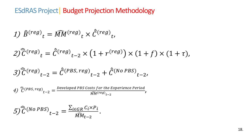$$
1) \widehat{B}^{(reg)}{}_t = \widehat{MM}^{(reg)}{}_t \times \widehat{\bar{C}}^{(reg)}{}_t,
$$

$$
2\hat{\overline{C}}^{(reg)}t = \hat{\overline{C}}^{(reg)}t-2} \times (1 + r^{(reg)}) \times (1 + f) \times (1 + \tau),
$$

$$
\widehat{\mathcal{J}}(\widehat{\overline{C}}^{(reg)}{}_{t-2}=\widehat{\overline{C}}^{(PBS,reg)}{}_{t-2}+\widehat{\overline{C}}^{(No\, PBS)}{}_{t-2},
$$

4) 
$$
\widehat{\overline{C}}^{(PBS,reg)}{}_{t-2} = \frac{Developed\ PBS\ costs\ for\ the\ Experience\ Period}{\widetilde{MM}^{(reg)}{}_{t-2}},
$$

$$
5)\hat{\overline{C}}^{(No\ PBS)}{}_{t-2} = \frac{\sum_{i \in GR} C_i \times P_i}{M M_{t-2}}.
$$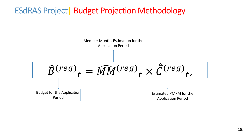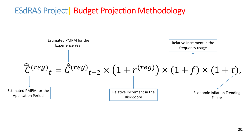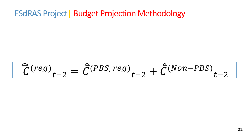$$
\widehat{\overline{C}}^{(reg)}{}_{t-2} = \widehat{\overline{C}}^{(PBS, reg)}{}_{t-2} + \widehat{\overline{C}}^{(Non-PBS)}{}_{t-2}
$$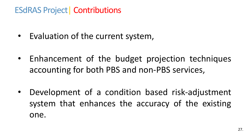## ESdRAS Project| Contributions

- Evaluation of the current system,
- Enhancement of the budget projection techniques accounting for both PBS and non-PBS services,
- Development of a condition based risk-adjustment system that enhances the accuracy of the existing one.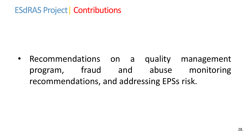## ESdRAS Project| Contributions

• Recommendations on a quality management program, fraud and abuse monitoring recommendations, and addressing EPSs risk.